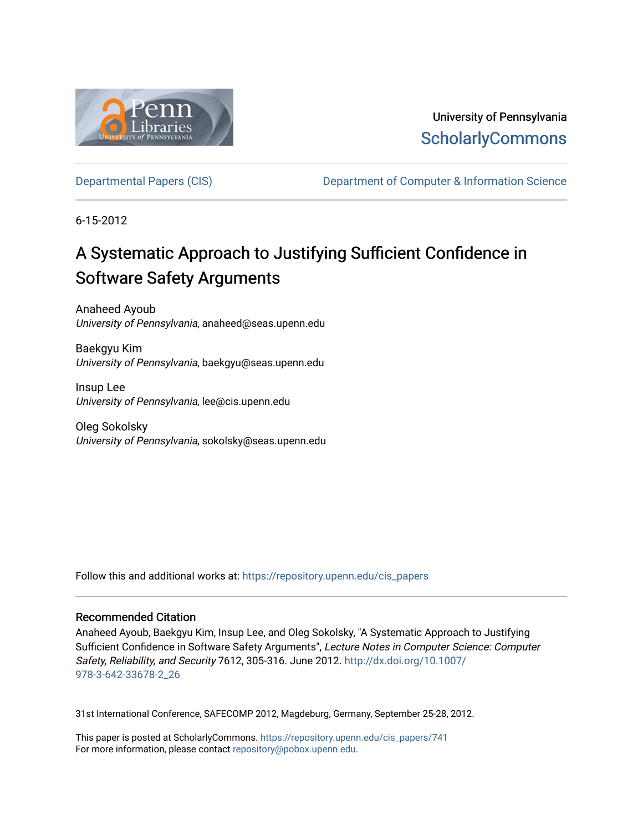

University of Pennsylvania **ScholarlyCommons** 

[Departmental Papers \(CIS\)](https://repository.upenn.edu/cis_papers) Department of Computer & Information Science

6-15-2012

# A Systematic Approach to Justifying Sufficient Confidence in Software Safety Arguments

Anaheed Ayoub University of Pennsylvania, anaheed@seas.upenn.edu

Baekgyu Kim University of Pennsylvania, baekgyu@seas.upenn.edu

Insup Lee University of Pennsylvania, lee@cis.upenn.edu

Oleg Sokolsky University of Pennsylvania, sokolsky@seas.upenn.edu

Follow this and additional works at: [https://repository.upenn.edu/cis\\_papers](https://repository.upenn.edu/cis_papers?utm_source=repository.upenn.edu%2Fcis_papers%2F741&utm_medium=PDF&utm_campaign=PDFCoverPages)

# Recommended Citation

Anaheed Ayoub, Baekgyu Kim, Insup Lee, and Oleg Sokolsky, "A Systematic Approach to Justifying Sufficient Confidence in Software Safety Arguments", Lecture Notes in Computer Science: Computer Safety, Reliability, and Security 7612, 305-316. June 2012. [http://dx.doi.org/10.1007/](http://dx.doi.org/10.1007/978-3-642-33678-2_26) [978-3-642-33678-2\\_26](http://dx.doi.org/10.1007/978-3-642-33678-2_26) 

31st International Conference, SAFECOMP 2012, Magdeburg, Germany, September 25-28, 2012.

This paper is posted at ScholarlyCommons. [https://repository.upenn.edu/cis\\_papers/741](https://repository.upenn.edu/cis_papers/741)  For more information, please contact [repository@pobox.upenn.edu.](mailto:repository@pobox.upenn.edu)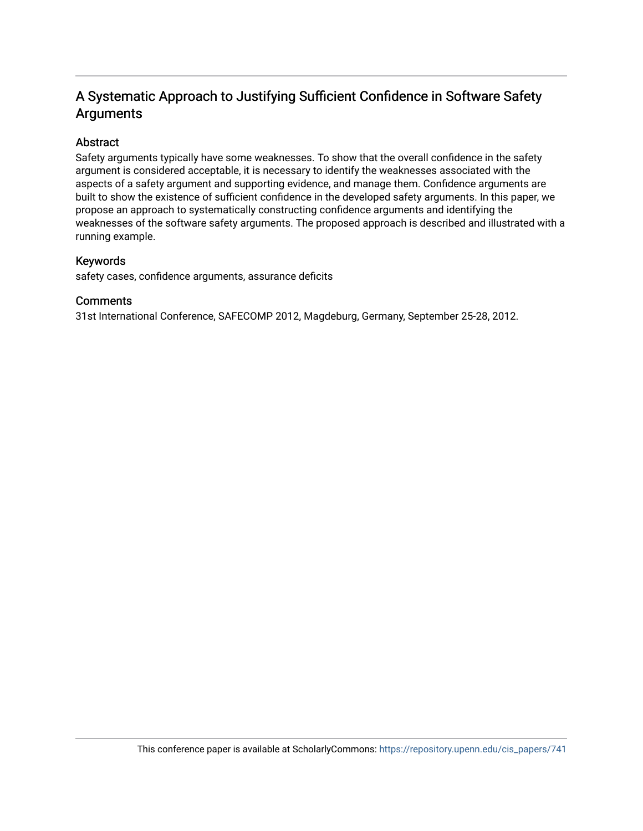# A Systematic Approach to Justifying Sufficient Confidence in Software Safety Arguments

# Abstract

Safety arguments typically have some weaknesses. To show that the overall confidence in the safety argument is considered acceptable, it is necessary to identify the weaknesses associated with the aspects of a safety argument and supporting evidence, and manage them. Confidence arguments are built to show the existence of sufficient confidence in the developed safety arguments. In this paper, we propose an approach to systematically constructing confidence arguments and identifying the weaknesses of the software safety arguments. The proposed approach is described and illustrated with a running example.

# Keywords

safety cases, confidence arguments, assurance deficits

# **Comments**

31st International Conference, SAFECOMP 2012, Magdeburg, Germany, September 25-28, 2012.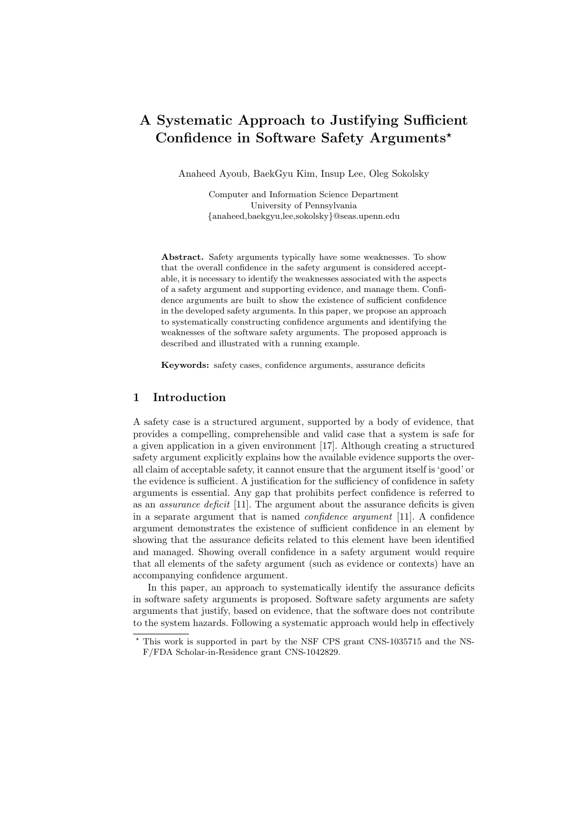# A Systematic Approach to Justifying Sufficient Confidence in Software Safety Arguments?

Anaheed Ayoub, BaekGyu Kim, Insup Lee, Oleg Sokolsky

Computer and Information Science Department University of Pennsylvania {anaheed,baekgyu,lee,sokolsky}@seas.upenn.edu

Abstract. Safety arguments typically have some weaknesses. To show that the overall confidence in the safety argument is considered acceptable, it is necessary to identify the weaknesses associated with the aspects of a safety argument and supporting evidence, and manage them. Confidence arguments are built to show the existence of sufficient confidence in the developed safety arguments. In this paper, we propose an approach to systematically constructing confidence arguments and identifying the weaknesses of the software safety arguments. The proposed approach is described and illustrated with a running example.

Keywords: safety cases, confidence arguments, assurance deficits

# 1 Introduction

A safety case is a structured argument, supported by a body of evidence, that provides a compelling, comprehensible and valid case that a system is safe for a given application in a given environment [17]. Although creating a structured safety argument explicitly explains how the available evidence supports the overall claim of acceptable safety, it cannot ensure that the argument itself is 'good' or the evidence is sufficient. A justification for the sufficiency of confidence in safety arguments is essential. Any gap that prohibits perfect confidence is referred to as an assurance deficit [11]. The argument about the assurance deficits is given in a separate argument that is named confidence argument [11]. A confidence argument demonstrates the existence of sufficient confidence in an element by showing that the assurance deficits related to this element have been identified and managed. Showing overall confidence in a safety argument would require that all elements of the safety argument (such as evidence or contexts) have an accompanying confidence argument.

In this paper, an approach to systematically identify the assurance deficits in software safety arguments is proposed. Software safety arguments are safety arguments that justify, based on evidence, that the software does not contribute to the system hazards. Following a systematic approach would help in effectively

<sup>?</sup> This work is supported in part by the NSF CPS grant CNS-1035715 and the NS-F/FDA Scholar-in-Residence grant CNS-1042829.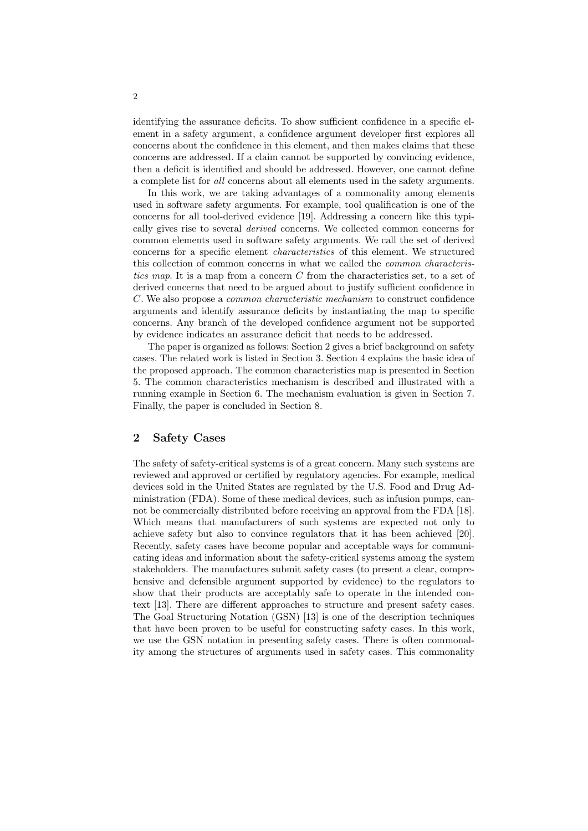identifying the assurance deficits. To show sufficient confidence in a specific element in a safety argument, a confidence argument developer first explores all concerns about the confidence in this element, and then makes claims that these concerns are addressed. If a claim cannot be supported by convincing evidence, then a deficit is identified and should be addressed. However, one cannot define a complete list for all concerns about all elements used in the safety arguments.

In this work, we are taking advantages of a commonality among elements used in software safety arguments. For example, tool qualification is one of the concerns for all tool-derived evidence [19]. Addressing a concern like this typically gives rise to several derived concerns. We collected common concerns for common elements used in software safety arguments. We call the set of derived concerns for a specific element characteristics of this element. We structured this collection of common concerns in what we called the common characteristics map. It is a map from a concern C from the characteristics set, to a set of derived concerns that need to be argued about to justify sufficient confidence in C. We also propose a common characteristic mechanism to construct confidence arguments and identify assurance deficits by instantiating the map to specific concerns. Any branch of the developed confidence argument not be supported by evidence indicates an assurance deficit that needs to be addressed.

The paper is organized as follows: Section 2 gives a brief background on safety cases. The related work is listed in Section 3. Section 4 explains the basic idea of the proposed approach. The common characteristics map is presented in Section 5. The common characteristics mechanism is described and illustrated with a running example in Section 6. The mechanism evaluation is given in Section 7. Finally, the paper is concluded in Section 8.

# 2 Safety Cases

The safety of safety-critical systems is of a great concern. Many such systems are reviewed and approved or certified by regulatory agencies. For example, medical devices sold in the United States are regulated by the U.S. Food and Drug Administration (FDA). Some of these medical devices, such as infusion pumps, cannot be commercially distributed before receiving an approval from the FDA [18]. Which means that manufacturers of such systems are expected not only to achieve safety but also to convince regulators that it has been achieved [20]. Recently, safety cases have become popular and acceptable ways for communicating ideas and information about the safety-critical systems among the system stakeholders. The manufactures submit safety cases (to present a clear, comprehensive and defensible argument supported by evidence) to the regulators to show that their products are acceptably safe to operate in the intended context [13]. There are different approaches to structure and present safety cases. The Goal Structuring Notation (GSN) [13] is one of the description techniques that have been proven to be useful for constructing safety cases. In this work, we use the GSN notation in presenting safety cases. There is often commonality among the structures of arguments used in safety cases. This commonality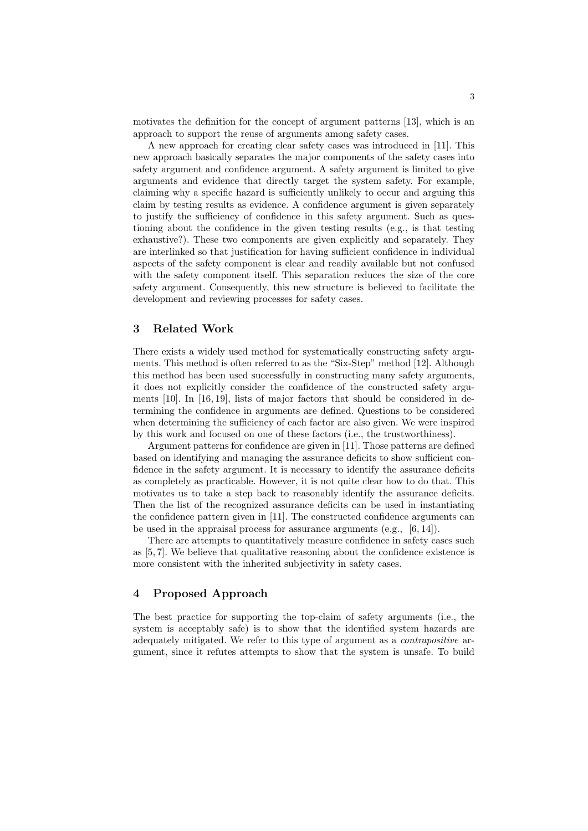motivates the definition for the concept of argument patterns [13], which is an approach to support the reuse of arguments among safety cases.

A new approach for creating clear safety cases was introduced in [11]. This new approach basically separates the major components of the safety cases into safety argument and confidence argument. A safety argument is limited to give arguments and evidence that directly target the system safety. For example, claiming why a specific hazard is sufficiently unlikely to occur and arguing this claim by testing results as evidence. A confidence argument is given separately to justify the sufficiency of confidence in this safety argument. Such as questioning about the confidence in the given testing results (e.g., is that testing exhaustive?). These two components are given explicitly and separately. They are interlinked so that justification for having sufficient confidence in individual aspects of the safety component is clear and readily available but not confused with the safety component itself. This separation reduces the size of the core safety argument. Consequently, this new structure is believed to facilitate the development and reviewing processes for safety cases.

# 3 Related Work

There exists a widely used method for systematically constructing safety arguments. This method is often referred to as the "Six-Step" method [12]. Although this method has been used successfully in constructing many safety arguments, it does not explicitly consider the confidence of the constructed safety arguments [10]. In [16, 19], lists of major factors that should be considered in determining the confidence in arguments are defined. Questions to be considered when determining the sufficiency of each factor are also given. We were inspired by this work and focused on one of these factors (i.e., the trustworthiness).

Argument patterns for confidence are given in [11]. Those patterns are defined based on identifying and managing the assurance deficits to show sufficient confidence in the safety argument. It is necessary to identify the assurance deficits as completely as practicable. However, it is not quite clear how to do that. This motivates us to take a step back to reasonably identify the assurance deficits. Then the list of the recognized assurance deficits can be used in instantiating the confidence pattern given in [11]. The constructed confidence arguments can be used in the appraisal process for assurance arguments (e.g., [6, 14]).

There are attempts to quantitatively measure confidence in safety cases such as [5, 7]. We believe that qualitative reasoning about the confidence existence is more consistent with the inherited subjectivity in safety cases.

# 4 Proposed Approach

The best practice for supporting the top-claim of safety arguments (i.e., the system is acceptably safe) is to show that the identified system hazards are adequately mitigated. We refer to this type of argument as a *contrapositive* argument, since it refutes attempts to show that the system is unsafe. To build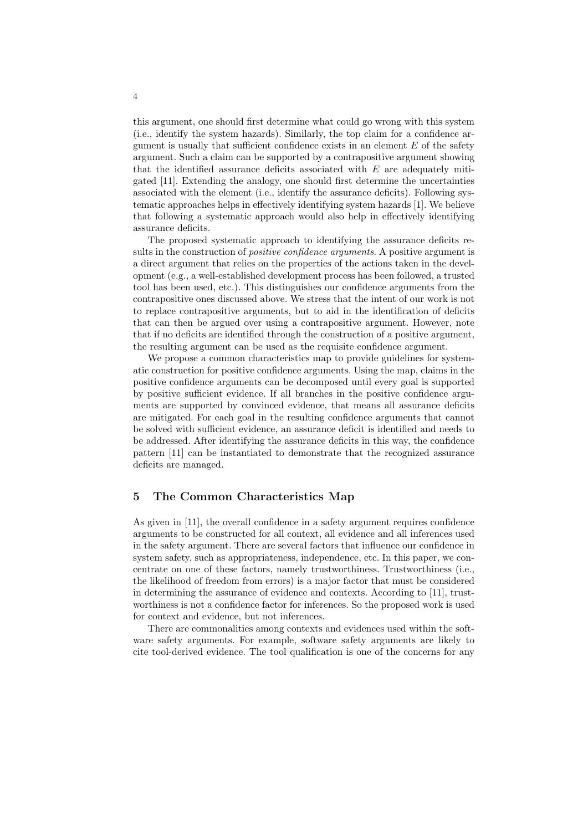this argument, one should first determine what could go wrong with this system (i.e., identify the system hazards). Similarly, the top claim for a confidence argument is usually that sufficient confidence exists in an element  $E$  of the safety argument. Such a claim can be supported by a contrapositive argument showing that the identified assurance deficits associated with  $E$  are adequately mitigated [11]. Extending the analogy, one should first determine the uncertainties associated with the element (i.e., identify the assurance deficits). Following systematic approaches helps in effectively identifying system hazards [1]. We believe that following a systematic approach would also help in effectively identifying assurance deficits.

The proposed systematic approach to identifying the assurance deficits results in the construction of *positive confidence arguments*. A positive argument is a direct argument that relies on the properties of the actions taken in the development (e.g., a well-established development process has been followed, a trusted tool has been used, etc.). This distinguishes our confidence arguments from the contrapositive ones discussed above. We stress that the intent of our work is not to replace contrapositive arguments, but to aid in the identification of deficits that can then be argued over using a contrapositive argument. However, note that if no deficits are identified through the construction of a positive argument, the resulting argument can be used as the requisite confidence argument.

We propose a common characteristics map to provide guidelines for systematic construction for positive confidence arguments. Using the map, claims in the positive confidence arguments can be decomposed until every goal is supported by positive sufficient evidence. If all branches in the positive confidence arguments are supported by convinced evidence, that means all assurance deficits are mitigated. For each goal in the resulting confidence arguments that cannot be solved with sufficient evidence, an assurance deficit is identified and needs to be addressed. After identifying the assurance deficits in this way, the confidence pattern [11] can be instantiated to demonstrate that the recognized assurance deficits are managed.

# 5 The Common Characteristics Map

As given in [11], the overall confidence in a safety argument requires confidence arguments to be constructed for all context, all evidence and all inferences used in the safety argument. There are several factors that influence our confidence in system safety, such as appropriateness, independence, etc. In this paper, we concentrate on one of these factors, namely trustworthiness. Trustworthiness (i.e., the likelihood of freedom from errors) is a major factor that must be considered in determining the assurance of evidence and contexts. According to [11], trustworthiness is not a confidence factor for inferences. So the proposed work is used for context and evidence, but not inferences.

There are commonalities among contexts and evidences used within the software safety arguments. For example, software safety arguments are likely to cite tool-derived evidence. The tool qualification is one of the concerns for any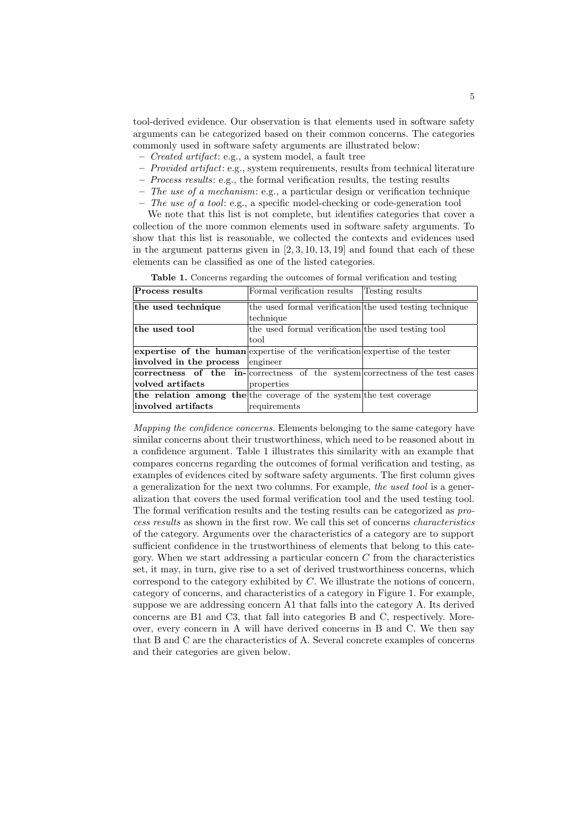tool-derived evidence. Our observation is that elements used in software safety arguments can be categorized based on their common concerns. The categories commonly used in software safety arguments are illustrated below:

- Created artifact: e.g., a system model, a fault tree
- $-$  *Provided artifact*: e.g., system requirements, results from technical literature
- $P_{\text{process results}}$ : e.g., the formal verification results, the testing results
- The use of a mechanism: e.g., a particular design or verification technique
- The use of a tool: e.g., a specific model-checking or code-generation tool

We note that this list is not complete, but identifies categories that cover a collection of the more common elements used in software safety arguments. To show that this list is reasonable, we collected the contexts and evidences used in the argument patterns given in  $[2, 3, 10, 13, 19]$  and found that each of these elements can be classified as one of the listed categories.

| Process results         | Formal verification results                                                   | Testing results |
|-------------------------|-------------------------------------------------------------------------------|-----------------|
| the used technique      | the used formal verification the used testing technique                       |                 |
|                         | technique                                                                     |                 |
| the used tool           | the used formal verification the used testing tool                            |                 |
|                         | tool                                                                          |                 |
|                         | expertise of the human expertise of the verification expertise of the tester  |                 |
| involved in the process | engineer                                                                      |                 |
|                         | correctness of the in-correctness of the system correctness of the test cases |                 |
| volved artifacts        | properties                                                                    |                 |
|                         | the relation among the the coverage of the system the test coverage           |                 |
| involved artifacts      | requirements                                                                  |                 |

Table 1. Concerns regarding the outcomes of formal verification and testing

Mapping the confidence concerns. Elements belonging to the same category have similar concerns about their trustworthiness, which need to be reasoned about in a confidence argument. Table 1 illustrates this similarity with an example that compares concerns regarding the outcomes of formal verification and testing, as examples of evidences cited by software safety arguments. The first column gives a generalization for the next two columns. For example, the used tool is a generalization that covers the used formal verification tool and the used testing tool. The formal verification results and the testing results can be categorized as process results as shown in the first row. We call this set of concerns characteristics of the category. Arguments over the characteristics of a category are to support sufficient confidence in the trustworthiness of elements that belong to this category. When we start addressing a particular concern  $C$  from the characteristics set, it may, in turn, give rise to a set of derived trustworthiness concerns, which correspond to the category exhibited by  $C$ . We illustrate the notions of concern, category of concerns, and characteristics of a category in Figure 1. For example, suppose we are addressing concern A1 that falls into the category A. Its derived concerns are B1 and C3, that fall into categories B and C, respectively. Moreover, every concern in A will have derived concerns in B and C. We then say that B and C are the characteristics of A. Several concrete examples of concerns and their categories are given below.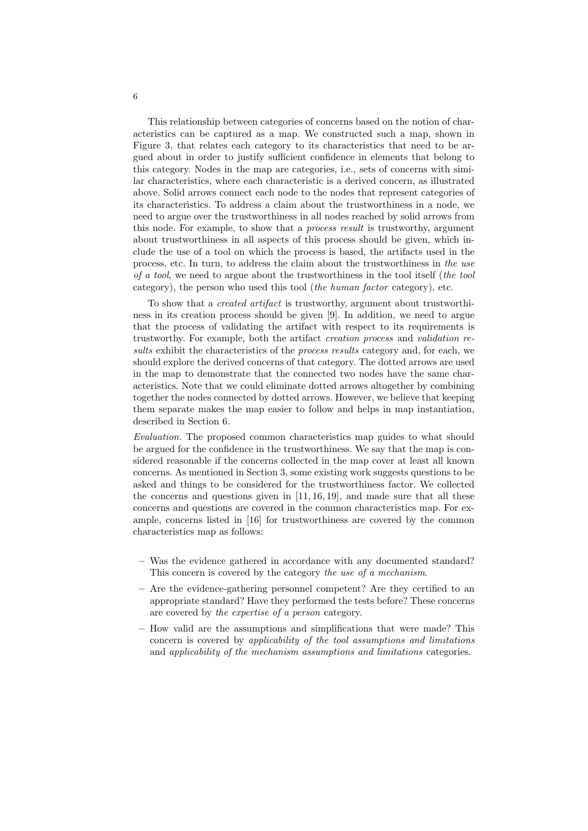This relationship between categories of concerns based on the notion of characteristics can be captured as a map. We constructed such a map, shown in Figure 3, that relates each category to its characteristics that need to be argued about in order to justify sufficient confidence in elements that belong to this category. Nodes in the map are categories, i.e., sets of concerns with similar characteristics, where each characteristic is a derived concern, as illustrated above. Solid arrows connect each node to the nodes that represent categories of its characteristics. To address a claim about the trustworthiness in a node, we need to argue over the trustworthiness in all nodes reached by solid arrows from this node. For example, to show that a *process result* is trustworthy, argument about trustworthiness in all aspects of this process should be given, which include the use of a tool on which the process is based, the artifacts used in the process, etc. In turn, to address the claim about the trustworthiness in the use of a tool, we need to argue about the trustworthiness in the tool itself (the tool category), the person who used this tool (the human factor category), etc.

To show that a created artifact is trustworthy, argument about trustworthiness in its creation process should be given [9]. In addition, we need to argue that the process of validating the artifact with respect to its requirements is trustworthy. For example, both the artifact creation process and validation results exhibit the characteristics of the *process results* category and, for each, we should explore the derived concerns of that category. The dotted arrows are used in the map to demonstrate that the connected two nodes have the same characteristics. Note that we could eliminate dotted arrows altogether by combining together the nodes connected by dotted arrows. However, we believe that keeping them separate makes the map easier to follow and helps in map instantiation, described in Section 6.

Evaluation. The proposed common characteristics map guides to what should be argued for the confidence in the trustworthiness. We say that the map is considered reasonable if the concerns collected in the map cover at least all known concerns. As mentioned in Section 3, some existing work suggests questions to be asked and things to be considered for the trustworthiness factor. We collected the concerns and questions given in [11, 16, 19], and made sure that all these concerns and questions are covered in the common characteristics map. For example, concerns listed in [16] for trustworthiness are covered by the common characteristics map as follows:

- Was the evidence gathered in accordance with any documented standard? This concern is covered by the category the use of a mechanism.
- Are the evidence-gathering personnel competent? Are they certified to an appropriate standard? Have they performed the tests before? These concerns are covered by the expertise of a person category.
- How valid are the assumptions and simplifications that were made? This concern is covered by applicability of the tool assumptions and limitations and applicability of the mechanism assumptions and limitations categories.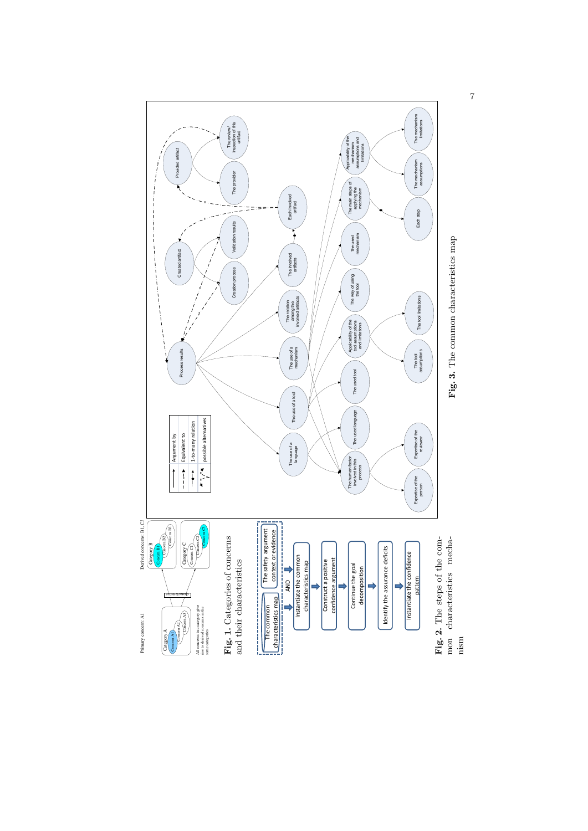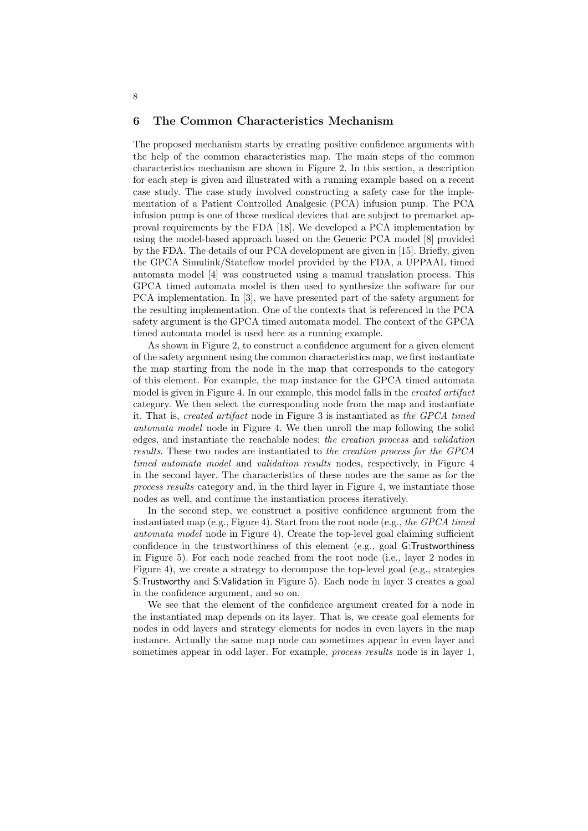#### 6 The Common Characteristics Mechanism

The proposed mechanism starts by creating positive confidence arguments with the help of the common characteristics map. The main steps of the common characteristics mechanism are shown in Figure 2. In this section, a description for each step is given and illustrated with a running example based on a recent case study. The case study involved constructing a safety case for the implementation of a Patient Controlled Analgesic (PCA) infusion pump. The PCA infusion pump is one of those medical devices that are subject to premarket approval requirements by the FDA [18]. We developed a PCA implementation by using the model-based approach based on the Generic PCA model [8] provided by the FDA. The details of our PCA development are given in [15]. Briefly, given the GPCA Simulink/Stateflow model provided by the FDA, a UPPAAL timed automata model [4] was constructed using a manual translation process. This GPCA timed automata model is then used to synthesize the software for our PCA implementation. In [3], we have presented part of the safety argument for the resulting implementation. One of the contexts that is referenced in the PCA safety argument is the GPCA timed automata model. The context of the GPCA timed automata model is used here as a running example.

As shown in Figure 2, to construct a confidence argument for a given element of the safety argument using the common characteristics map, we first instantiate the map starting from the node in the map that corresponds to the category of this element. For example, the map instance for the GPCA timed automata model is given in Figure 4. In our example, this model falls in the *created artifact* category. We then select the corresponding node from the map and instantiate it. That is, created artifact node in Figure 3 is instantiated as the GPCA timed automata model node in Figure 4. We then unroll the map following the solid edges, and instantiate the reachable nodes: the creation process and validation results. These two nodes are instantiated to the creation process for the GPCA timed automata model and validation results nodes, respectively, in Figure 4 in the second layer. The characteristics of these nodes are the same as for the process results category and, in the third layer in Figure 4, we instantiate those nodes as well, and continue the instantiation process iteratively.

In the second step, we construct a positive confidence argument from the instantiated map (e.g., Figure 4). Start from the root node (e.g., the GPCA timed automata model node in Figure 4). Create the top-level goal claiming sufficient confidence in the trustworthiness of this element (e.g., goal G:Trustworthiness in Figure 5). For each node reached from the root node (i.e., layer 2 nodes in Figure 4), we create a strategy to decompose the top-level goal (e.g., strategies S:Trustworthy and S:Validation in Figure 5). Each node in layer 3 creates a goal in the confidence argument, and so on.

We see that the element of the confidence argument created for a node in the instantiated map depends on its layer. That is, we create goal elements for nodes in odd layers and strategy elements for nodes in even layers in the map instance. Actually the same map node can sometimes appear in even layer and sometimes appear in odd layer. For example, *process results* node is in layer 1,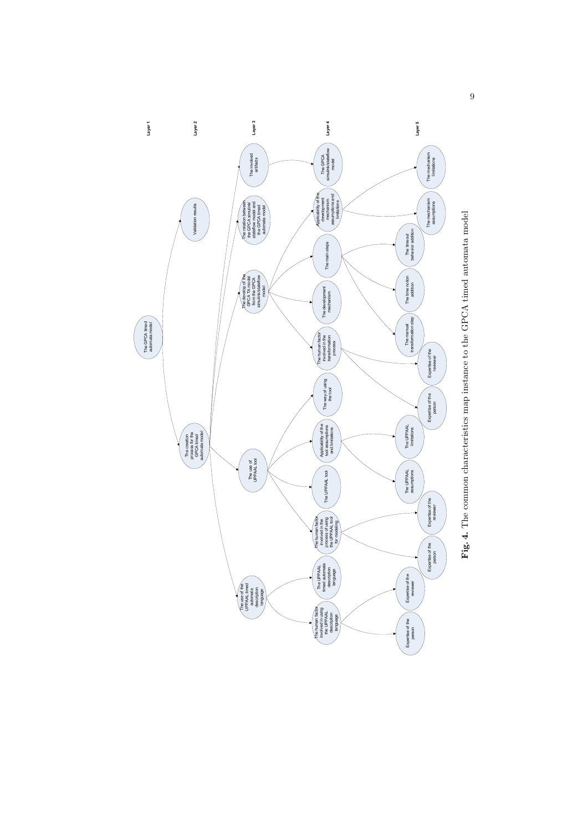

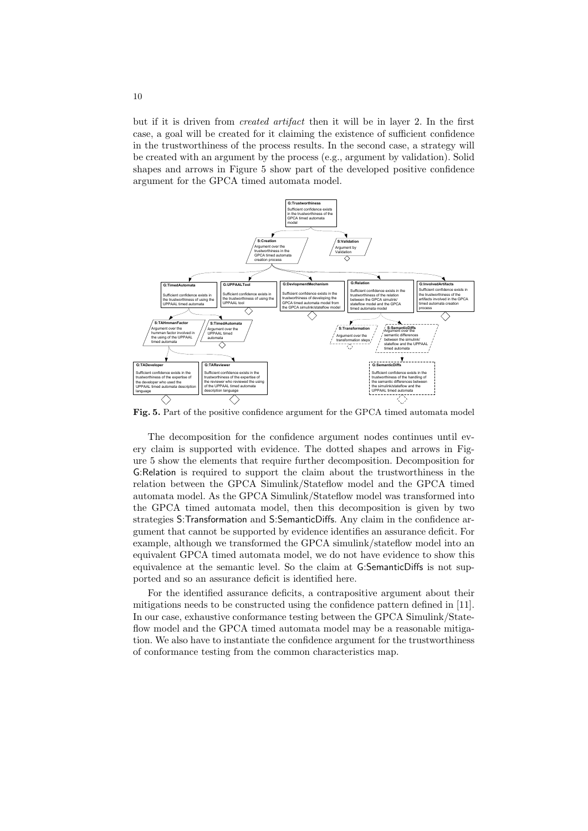but if it is driven from created artifact then it will be in layer 2. In the first case, a goal will be created for it claiming the existence of sufficient confidence in the trustworthiness of the process results. In the second case, a strategy will be created with an argument by the process (e.g., argument by validation). Solid shapes and arrows in Figure 5 show part of the developed positive confidence argument for the GPCA timed automata model.



Fig. 5. Part of the positive confidence argument for the GPCA timed automata model

The decomposition for the confidence argument nodes continues until every claim is supported with evidence. The dotted shapes and arrows in Figure 5 show the elements that require further decomposition. Decomposition for G:Relation is required to support the claim about the trustworthiness in the relation between the GPCA Simulink/Stateflow model and the GPCA timed automata model. As the GPCA Simulink/Stateflow model was transformed into the GPCA timed automata model, then this decomposition is given by two strategies S:Transformation and S:SemanticDiffs. Any claim in the confidence argument that cannot be supported by evidence identifies an assurance deficit. For example, although we transformed the GPCA simulink/stateflow model into an equivalent GPCA timed automata model, we do not have evidence to show this equivalence at the semantic level. So the claim at G:SemanticDiffs is not supported and so an assurance deficit is identified here.

For the identified assurance deficits, a contrapositive argument about their mitigations needs to be constructed using the confidence pattern defined in [11]. In our case, exhaustive conformance testing between the GPCA Simulink/Stateflow model and the GPCA timed automata model may be a reasonable mitigation. We also have to instantiate the confidence argument for the trustworthiness of conformance testing from the common characteristics map.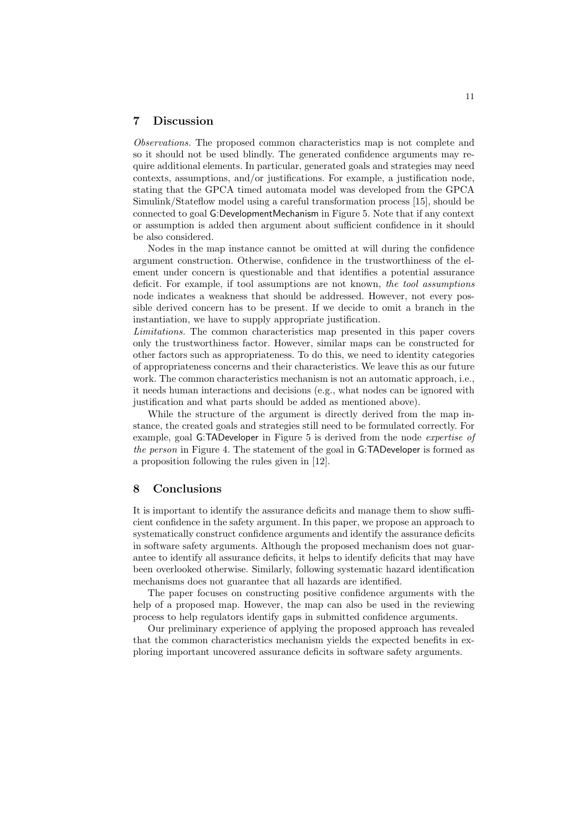#### 7 Discussion

Observations. The proposed common characteristics map is not complete and so it should not be used blindly. The generated confidence arguments may require additional elements. In particular, generated goals and strategies may need contexts, assumptions, and/or justifications. For example, a justification node, stating that the GPCA timed automata model was developed from the GPCA Simulink/Stateflow model using a careful transformation process [15], should be connected to goal G:DevelopmentMechanism in Figure 5. Note that if any context or assumption is added then argument about sufficient confidence in it should be also considered.

Nodes in the map instance cannot be omitted at will during the confidence argument construction. Otherwise, confidence in the trustworthiness of the element under concern is questionable and that identifies a potential assurance deficit. For example, if tool assumptions are not known, the tool assumptions node indicates a weakness that should be addressed. However, not every possible derived concern has to be present. If we decide to omit a branch in the instantiation, we have to supply appropriate justification.

Limitations. The common characteristics map presented in this paper covers only the trustworthiness factor. However, similar maps can be constructed for other factors such as appropriateness. To do this, we need to identity categories of appropriateness concerns and their characteristics. We leave this as our future work. The common characteristics mechanism is not an automatic approach, i.e., it needs human interactions and decisions (e.g., what nodes can be ignored with justification and what parts should be added as mentioned above).

While the structure of the argument is directly derived from the map instance, the created goals and strategies still need to be formulated correctly. For example, goal G:TADeveloper in Figure 5 is derived from the node *expertise of* the person in Figure 4. The statement of the goal in G:TADeveloper is formed as a proposition following the rules given in [12].

#### 8 Conclusions

It is important to identify the assurance deficits and manage them to show sufficient confidence in the safety argument. In this paper, we propose an approach to systematically construct confidence arguments and identify the assurance deficits in software safety arguments. Although the proposed mechanism does not guarantee to identify all assurance deficits, it helps to identify deficits that may have been overlooked otherwise. Similarly, following systematic hazard identification mechanisms does not guarantee that all hazards are identified.

The paper focuses on constructing positive confidence arguments with the help of a proposed map. However, the map can also be used in the reviewing process to help regulators identify gaps in submitted confidence arguments.

Our preliminary experience of applying the proposed approach has revealed that the common characteristics mechanism yields the expected benefits in exploring important uncovered assurance deficits in software safety arguments.